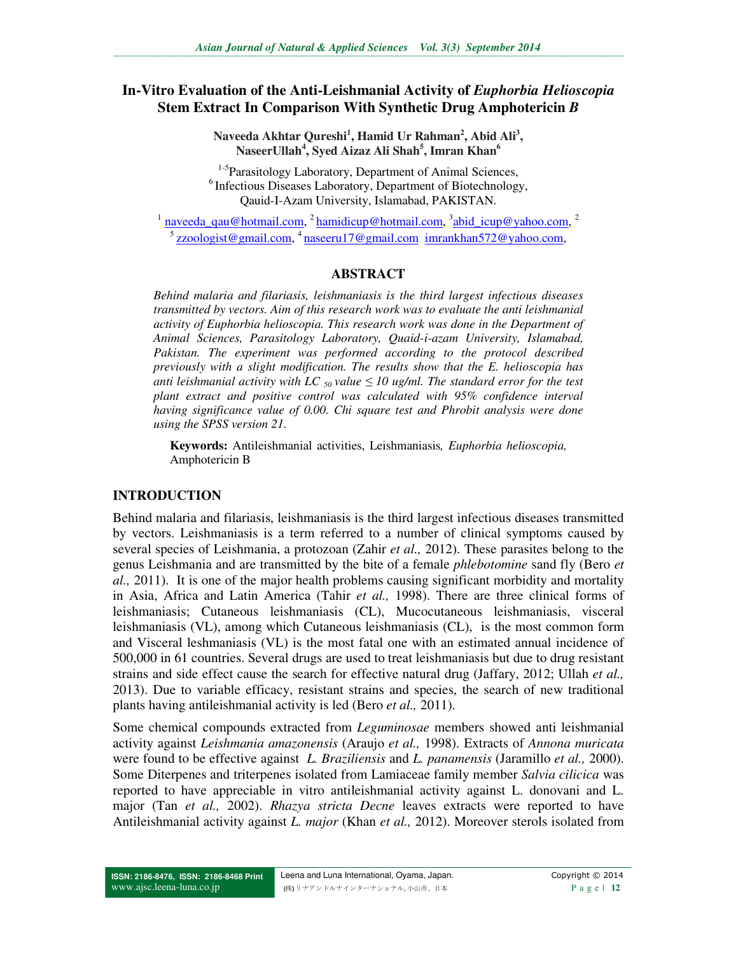## In-Vitro Evaluation of the Anti-Leishmanial Activity of *Euphorbia Helioscopia* **Stem Extract In Comparison With Synthetic Drug Amphotericin** *B*

**Naveeda Akhtar Qureshi<sup>1</sup> , Hamid Ur Rahman<sup>2</sup> , Abid Ali<sup>3</sup> , NaseerUllah<sup>4</sup> , Syed Aizaz Ali Shah<sup>5</sup> , Imran Khan<sup>6</sup>**

 $1-5$ Parasitology Laboratory, Department of Animal Sciences,  $6$ Infectious Diseases Laboratory, Department of Biotechnology, Qauid-I-Azam University, Islamabad, PAKISTAN.

<sup>1</sup> naveeda\_qau@hotmail.com, <sup>2</sup> hamidicup@hotmail.com, <sup>3</sup> abid\_icup@yahoo.com, <sup>2</sup> <sup>5</sup> zzoologist@gmail.com, <sup>4</sup> naseeru17@gmail.com imrankhan572@yahoo.com,

#### **ABSTRACT**

*Behind malaria and filariasis, leishmaniasis is the third largest infectious diseases transmitted by vectors. Aim of this research work was to evaluate the anti leishmanial activity of Euphorbia helioscopia. This research work was done in the Department of Animal Sciences, Parasitology Laboratory, Quaid-i-azam University, Islamabad, Pakistan. The experiment was performed according to the protocol described previously with a slight modification. The results show that the E. helioscopia has anti leishmanial activity with LC*  $_{50}$  *value*  $\leq$  10 *ug/ml. The standard error for the test plant extract and positive control was calculated with 95% confidence interval having significance value of 0.00. Chi square test and Phrobit analysis were done using the SPSS version 21.* 

**Keywords:** Antileishmanial activities, Leishmaniasis*, Euphorbia helioscopia,*  Amphotericin B

## **INTRODUCTION**

Behind malaria and filariasis, leishmaniasis is the third largest infectious diseases transmitted by vectors. Leishmaniasis is a term referred to a number of clinical symptoms caused by several species of Leishmania, a protozoan (Zahir *et al.,* 2012). These parasites belong to the genus Leishmania and are transmitted by the bite of a female *phlebotomine* sand fly (Bero *et al.,* 2011). It is one of the major health problems causing significant morbidity and mortality in Asia, Africa and Latin America (Tahir *et al.,* 1998). There are three clinical forms of leishmaniasis; Cutaneous leishmaniasis (CL), Mucocutaneous leishmaniasis, visceral leishmaniasis (VL), among which Cutaneous leishmaniasis (CL), is the most common form and Visceral leshmaniasis (VL) is the most fatal one with an estimated annual incidence of 500,000 in 61 countries. Several drugs are used to treat leishmaniasis but due to drug resistant strains and side effect cause the search for effective natural drug (Jaffary, 2012; Ullah *et al.,* 2013). Due to variable efficacy, resistant strains and species, the search of new traditional plants having antileishmanial activity is led (Bero *et al.,* 2011).

Some chemical compounds extracted from *Leguminosae* members showed anti leishmanial activity against *Leishmania amazonensis* (Araujo *et al.,* 1998). Extracts of *Annona muricata* were found to be effective against *L. Braziliensis* and *L. panamensis* (Jaramillo *et al.,* 2000). Some Diterpenes and triterpenes isolated from Lamiaceae family member *Salvia cilicica* was reported to have appreciable in vitro antileishmanial activity against L. donovani and L. major (Tan *et al.,* 2002). *Rhazya stricta Decne* leaves extracts were reported to have Antileishmanial activity against *L. major* (Khan *et al.,* 2012). Moreover sterols isolated from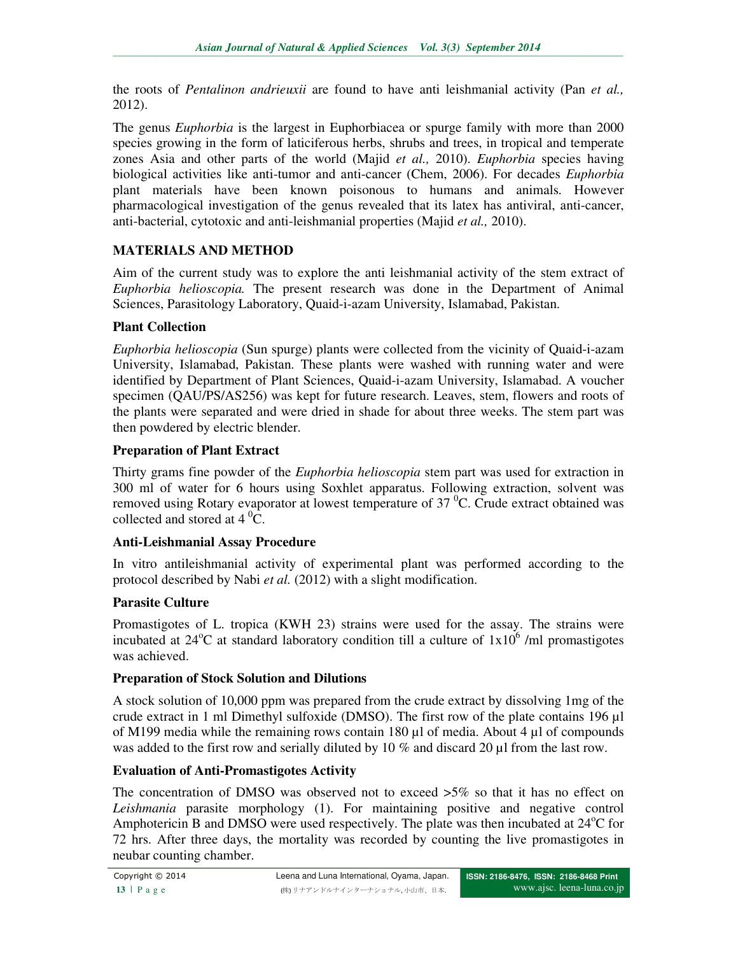the roots of *Pentalinon andrieuxii* are found to have anti leishmanial activity (Pan *et al.,* 2012).

The genus *Euphorbia* is the largest in Euphorbiacea or spurge family with more than 2000 species growing in the form of laticiferous herbs, shrubs and trees, in tropical and temperate zones Asia and other parts of the world (Majid *et al.,* 2010). *Euphorbia* species having biological activities like anti-tumor and anti-cancer (Chem, 2006). For decades *Euphorbia* plant materials have been known poisonous to humans and animals. However pharmacological investigation of the genus revealed that its latex has antiviral, anti-cancer, anti-bacterial, cytotoxic and anti-leishmanial properties (Majid *et al.,* 2010).

## **MATERIALS AND METHOD**

Aim of the current study was to explore the anti leishmanial activity of the stem extract of *Euphorbia helioscopia.* The present research was done in the Department of Animal Sciences, Parasitology Laboratory, Quaid-i-azam University, Islamabad, Pakistan.

## **Plant Collection**

*Euphorbia helioscopia* (Sun spurge) plants were collected from the vicinity of Quaid-i-azam University, Islamabad, Pakistan. These plants were washed with running water and were identified by Department of Plant Sciences, Quaid-i-azam University, Islamabad. A voucher specimen (QAU/PS/AS256) was kept for future research. Leaves, stem, flowers and roots of the plants were separated and were dried in shade for about three weeks. The stem part was then powdered by electric blender.

## **Preparation of Plant Extract**

Thirty grams fine powder of the *Euphorbia helioscopia* stem part was used for extraction in 300 ml of water for 6 hours using Soxhlet apparatus. Following extraction, solvent was removed using Rotary evaporator at lowest temperature of 37 $\mathrm{^{0}C}$ . Crude extract obtained was collected and stored at  $4\,^0\text{C}$ .

## **Anti-Leishmanial Assay Procedure**

In vitro antileishmanial activity of experimental plant was performed according to the protocol described by Nabi *et al.* (2012) with a slight modification.

## **Parasite Culture**

Promastigotes of L. tropica (KWH 23) strains were used for the assay. The strains were incubated at  $24^{\circ}$ C at standard laboratory condition till a culture of  $1x10^{\circ}$  /ml promastigotes was achieved.

#### **Preparation of Stock Solution and Dilutions**

A stock solution of 10,000 ppm was prepared from the crude extract by dissolving 1mg of the crude extract in 1 ml Dimethyl sulfoxide (DMSO). The first row of the plate contains 196 µl of M199 media while the remaining rows contain 180 µl of media. About 4 µl of compounds was added to the first row and serially diluted by 10 % and discard 20 µl from the last row.

#### **Evaluation of Anti-Promastigotes Activity**

The concentration of DMSO was observed not to exceed >5% so that it has no effect on *Leishmania* parasite morphology (1). For maintaining positive and negative control Amphotericin B and DMSO were used respectively. The plate was then incubated at  $24^{\circ}$ C for 72 hrs. After three days, the mortality was recorded by counting the live promastigotes in neubar counting chamber.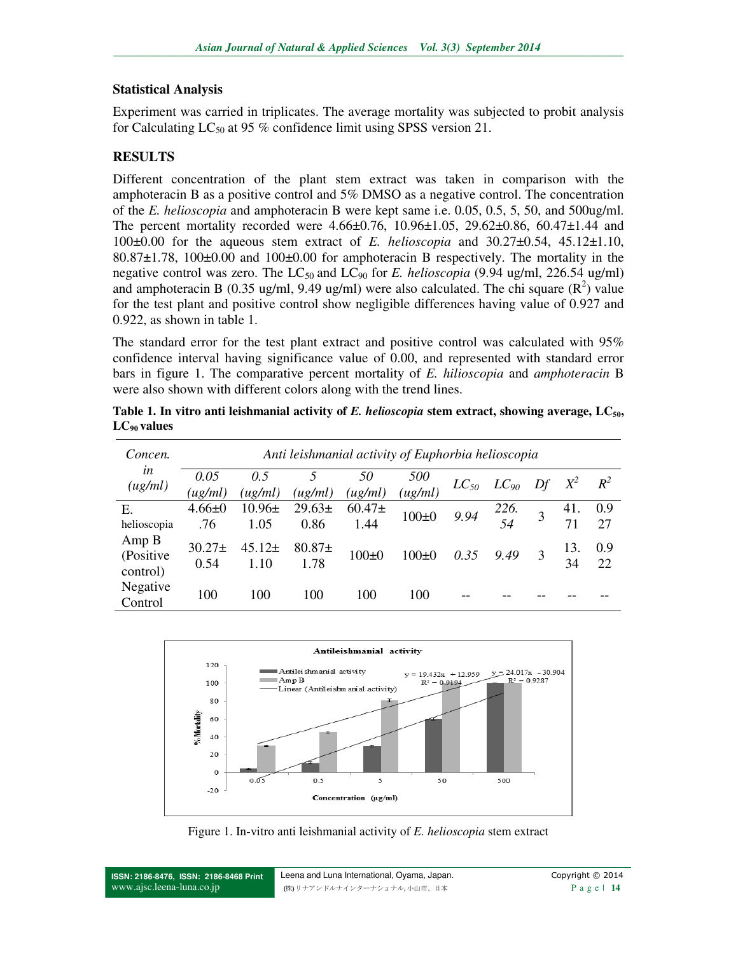#### **Statistical Analysis**

Experiment was carried in triplicates. The average mortality was subjected to probit analysis for Calculating  $LC_{50}$  at 95 % confidence limit using SPSS version 21.

# **RESULTS**

Different concentration of the plant stem extract was taken in comparison with the amphoteracin B as a positive control and 5% DMSO as a negative control. The concentration of the *E. helioscopia* and amphoteracin B were kept same i.e. 0.05, 0.5, 5, 50, and 500ug/ml. The percent mortality recorded were  $4.66\pm0.76$ ,  $10.96\pm1.05$ ,  $29.62\pm0.86$ ,  $60.47\pm1.44$  and 100±0.00 for the aqueous stem extract of *E. helioscopia* and 30.27±0.54, 45.12±1.10, 80.87±1.78, 100±0.00 and 100±0.00 for amphoteracin B respectively. The mortality in the negative control was zero. The  $LC_{50}$  and  $LC_{90}$  for *E. helioscopia* (9.94 ug/ml, 226.54 ug/ml) and amphoteracin B (0.35 ug/ml, 9.49 ug/ml) were also calculated. The chi square  $(R^2)$  value for the test plant and positive control show negligible differences having value of 0.927 and 0.922, as shown in table 1.

The standard error for the test plant extract and positive control was calculated with 95% confidence interval having significance value of 0.00, and represented with standard error bars in figure 1. The comparative percent mortality of *E. hilioscopia* and *amphoteracin* B were also shown with different colors along with the trend lines.

| Table 1. In vitro anti leishmanial activity of E. helioscopia stem extract, showing average, $LC_{50}$ , |  |  |
|----------------------------------------------------------------------------------------------------------|--|--|
| $LC_{90}$ values                                                                                         |  |  |

| Concen.                        | Anti leishmanial activity of Euphorbia helioscopia |                    |                     |                    |                |           |              |  |           |           |
|--------------------------------|----------------------------------------------------|--------------------|---------------------|--------------------|----------------|-----------|--------------|--|-----------|-----------|
| in<br>(ug/ml)                  | 0.05<br>(ug/ml)                                    | 0.5<br>(ug/ml)     | $\mu g/ml$ )        | 50<br>(ug/ml)      | 500<br>(ug/ml) | $LC_{50}$ | $LC_{90}$ Df |  | $X^2$     | $R^2$     |
| Ε.<br>helioscopia              | $4.66 \pm 0$<br>.76                                | $10.96\pm$<br>1.05 | $29.63 \pm$<br>0.86 | $60.47\pm$<br>1.44 | $100+0$        | 9.94      | 226.<br>54   |  | 41.<br>71 | 0.9<br>27 |
| Amp B<br>(Positive<br>control) | $30.27 \pm$<br>0.54                                | $45.12\pm$<br>1.10 | $80.87+$<br>1.78    | $100+0$            | $100+0$        | 0.35      | 9.49         |  | 13.<br>34 | 0.9<br>22 |
| Negative<br>Control            | 100                                                | 100                | 100                 | 100                | 100            |           |              |  |           |           |



Figure 1. In-vitro anti leishmanial activity of *E. helioscopia* stem extract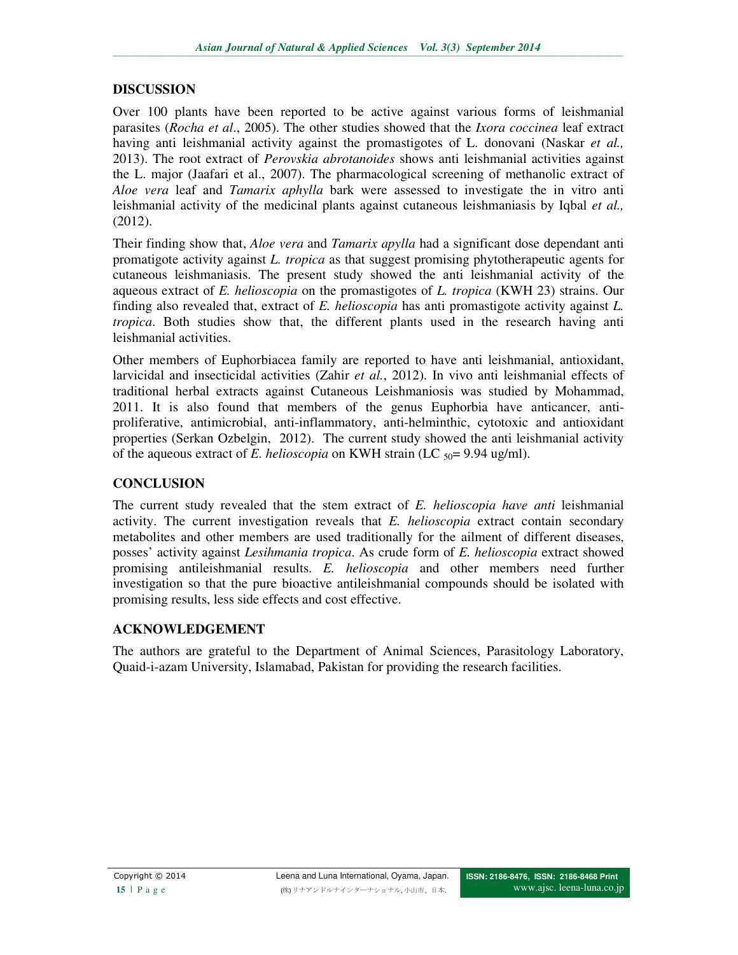## **DISCUSSION**

Over 100 plants have been reported to be active against various forms of leishmanial parasites (*Rocha et al*., 2005). The other studies showed that the *Ixora coccinea* leaf extract having anti leishmanial activity against the promastigotes of L. donovani (Naskar *et al.,* 2013). The root extract of *Perovskia abrotanoides* shows anti leishmanial activities against the L. major (Jaafari et al., 2007). The pharmacological screening of methanolic extract of *Aloe vera* leaf and *Tamarix aphylla* bark were assessed to investigate the in vitro anti leishmanial activity of the medicinal plants against cutaneous leishmaniasis by Iqbal *et al.,* (2012).

Their finding show that, *Aloe vera* and *Tamarix apylla* had a significant dose dependant anti promatigote activity against *L. tropica* as that suggest promising phytotherapeutic agents for cutaneous leishmaniasis. The present study showed the anti leishmanial activity of the aqueous extract of *E. helioscopia* on the promastigotes of *L. tropica* (KWH 23) strains. Our finding also revealed that, extract of *E. helioscopia* has anti promastigote activity against *L. tropica*. Both studies show that, the different plants used in the research having anti leishmanial activities.

Other members of Euphorbiacea family are reported to have anti leishmanial, antioxidant, larvicidal and insecticidal activities (Zahir *et al.*, 2012). In vivo anti leishmanial effects of traditional herbal extracts against Cutaneous Leishmaniosis was studied by Mohammad, 2011. It is also found that members of the genus Euphorbia have anticancer, antiproliferative, antimicrobial, anti-inflammatory, anti-helminthic, cytotoxic and antioxidant properties (Serkan Ozbelgin, 2012). The current study showed the anti leishmanial activity of the aqueous extract of *E. helioscopia* on KWH strain (LC <sub>50</sub>= 9.94 ug/ml).

## **CONCLUSION**

The current study revealed that the stem extract of *E. helioscopia have anti* leishmanial activity. The current investigation reveals that *E. helioscopia* extract contain secondary metabolites and other members are used traditionally for the ailment of different diseases, posses' activity against *Lesihmania tropica*. As crude form of *E. helioscopia* extract showed promising antileishmanial results. *E. helioscopia* and other members need further investigation so that the pure bioactive antileishmanial compounds should be isolated with promising results, less side effects and cost effective.

## **ACKNOWLEDGEMENT**

The authors are grateful to the Department of Animal Sciences, Parasitology Laboratory, Quaid-i-azam University, Islamabad, Pakistan for providing the research facilities.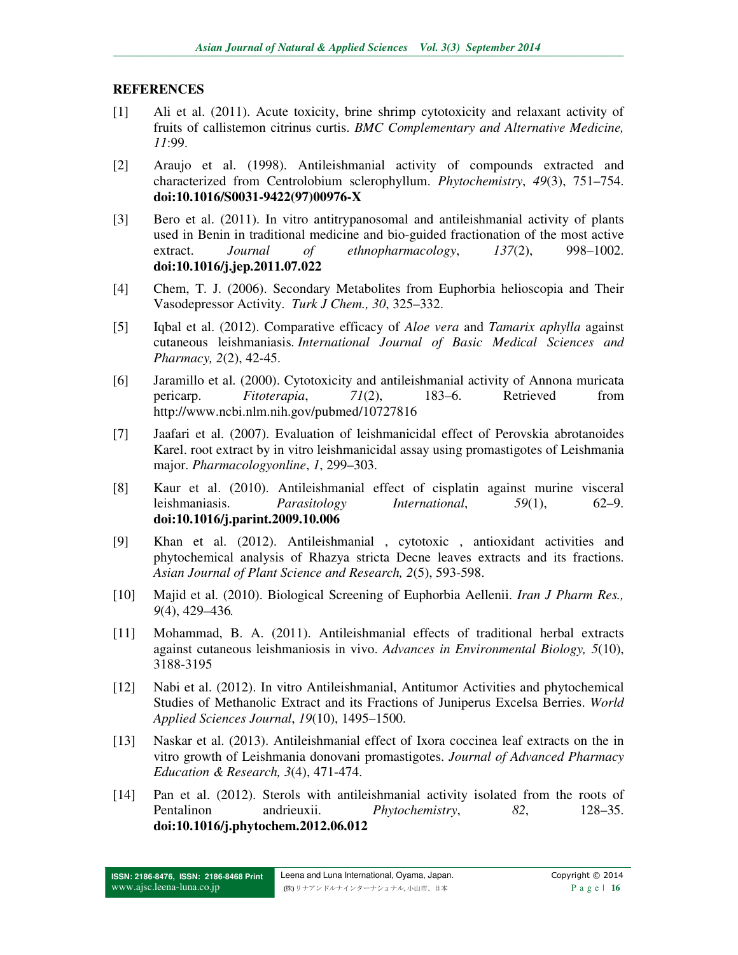## **REFERENCES**

- [1] Ali et al. (2011). Acute toxicity, brine shrimp cytotoxicity and relaxant activity of fruits of callistemon citrinus curtis. *BMC Complementary and Alternative Medicine, 11*:99.
- [2] Araujo et al. (1998). Antileishmanial activity of compounds extracted and characterized from Centrolobium sclerophyllum. *Phytochemistry*, *49*(3), 751–754. **doi:10.1016/S0031-9422(97)00976-X**
- [3] Bero et al. (2011). In vitro antitrypanosomal and antileishmanial activity of plants used in Benin in traditional medicine and bio-guided fractionation of the most active extract. *Journal of ethnopharmacology*, *137*(2), 998–1002. **doi:10.1016/j.jep.2011.07.022**
- [4] Chem, T. J. (2006). Secondary Metabolites from Euphorbia helioscopia and Their Vasodepressor Activity. *Turk J Chem., 30*, 325–332.
- [5] Iqbal et al. (2012). Comparative efficacy of *Aloe vera* and *Tamarix aphylla* against cutaneous leishmaniasis. *International Journal of Basic Medical Sciences and Pharmacy, 2*(2), 42-45.
- [6] Jaramillo et al. (2000). Cytotoxicity and antileishmanial activity of Annona muricata pericarp. *Fitoterapia*, *71*(2), 183–6. Retrieved from http://www.ncbi.nlm.nih.gov/pubmed/10727816
- [7] Jaafari et al. (2007). Evaluation of leishmanicidal effect of Perovskia abrotanoides Karel. root extract by in vitro leishmanicidal assay using promastigotes of Leishmania major. *Pharmacologyonline*, *1*, 299–303.
- [8] Kaur et al. (2010). Antileishmanial effect of cisplatin against murine visceral leishmaniasis. *Parasitology International*, *59*(1), 62–9. **doi:10.1016/j.parint.2009.10.006**
- [9] Khan et al. (2012). Antileishmanial , cytotoxic , antioxidant activities and phytochemical analysis of Rhazya stricta Decne leaves extracts and its fractions. *Asian Journal of Plant Science and Research, 2*(5), 593-598.
- [10] Majid et al. (2010). Biological Screening of Euphorbia Aellenii. *Iran J Pharm Res., 9*(4), 429–436*.*
- [11] Mohammad, B. A. (2011). Antileishmanial effects of traditional herbal extracts against cutaneous leishmaniosis in vivo. *Advances in Environmental Biology, 5*(10), 3188-3195
- [12] Nabi et al. (2012). In vitro Antileishmanial, Antitumor Activities and phytochemical Studies of Methanolic Extract and its Fractions of Juniperus Excelsa Berries. *World Applied Sciences Journal*, *19*(10), 1495–1500.
- [13] Naskar et al. (2013). Antileishmanial effect of Ixora coccinea leaf extracts on the in vitro growth of Leishmania donovani promastigotes. *Journal of Advanced Pharmacy Education & Research, 3*(4), 471-474.
- [14] Pan et al. (2012). Sterols with antileishmanial activity isolated from the roots of Pentalinon andrieuxii. *Phytochemistry*, *82*, 128–35. **doi:10.1016/j.phytochem.2012.06.012**